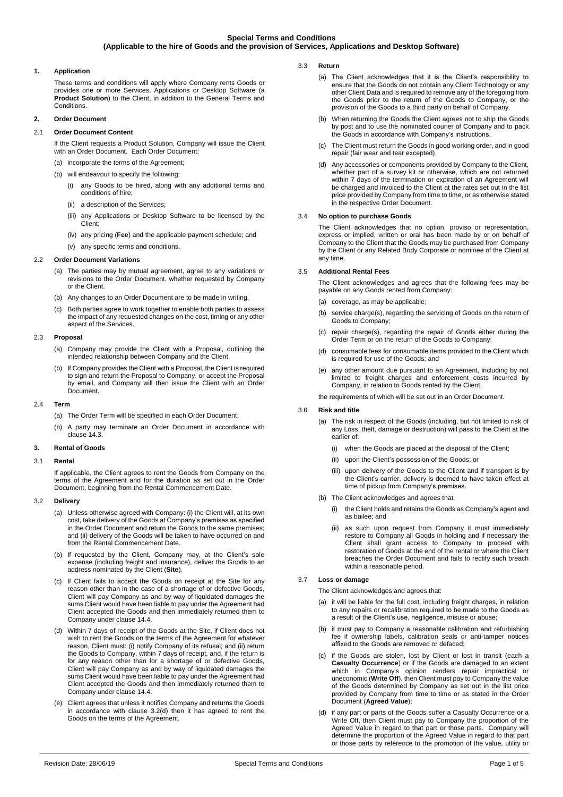## **Special Terms and Conditions (Applicable to the hire of Goods and the provision of Services, Applications and Desktop Software)**

## **1. Application**

These terms and conditions will apply where Company rents Goods or provides one or more Services, Applications or Desktop Software (a **Product Solution**) to the Client, in addition to the General Terms and Conditions.

## **2. Order Document**

## 2.1 **Order Document Content**

If the Client requests a Product Solution, Company will issue the Client with an Order Document. Each Order Document:

- (a) incorporate the terms of the Agreement; (b) will endeavour to specify the following:
	- (i) any Goods to be hired, along with any additional terms and conditions of hire;
	- (ii) a description of the Services;
	- (iii) any Applications or Desktop Software to be licensed by the Client;
	- (iv) any pricing (**Fee**) and the applicable payment schedule; and
- (v) any specific terms and conditions.

#### 2.2 **Order Document Variations**

- (a) The parties may by mutual agreement, agree to any variations or revisions to the Order Document, whether requested by Company or the Client.
- (b) Any changes to an Order Document are to be made in writing.
- (c) Both parties agree to work together to enable both parties to assess the impact of any requested changes on the cost, timing or any other aspect of the Services.

## 2.3 **Proposal**

- (a) Company may provide the Client with a Proposal, outlining the intended relationship between Company and the Client.
- If Company provides the Client with a Proposal, the Client is required to sign and return the Proposal to Company, or accept the Proposal by email, and Company will then issue the Client with an Order Document.

### 2.4 **Term**

- (a) The Order Term will be specified in each Order Document.
- (b) A party may terminate an Order Document in accordance with clause [14.3.](#page-2-0)

#### **3. Rental of Goods**

#### 3.1 **Rental**

If applicable, the Client agrees to rent the Goods from Company on the terms of the Agreement and for the duration as set out in the Order Document, beginning from the Rental Commencement Date.

### 3.2 **Delivery**

- (a) Unless otherwise agreed with Company: (i) the Client will, at its own cost, take delivery of the Goods at Company's premises as specified in the Order Document and return the Goods to the same premises; and (ii) delivery of the Goods will be taken to have occurred on and from the Rental Commencement Date.
- (b) If requested by the Client, Company may, at the Client's sole expense (including freight and insurance), deliver the Goods to an address nominated by the Client (**Site**).
- (c) If Client fails to accept the Goods on receipt at the Site for any reason other than in the case of a shortage of or defective Goods, Client will pay Company as and by way of liquidated damages the sums Client would have been liable to pay under the Agreement had Client accepted the Goods and then immediately returned them to Company under clause [14.4.](#page-3-0)
- <span id="page-0-0"></span>(d) Within 7 days of receipt of the Goods at the Site, if Client does not wish to rent the Goods on the terms of the Agreement for whatever reason, Client must: (i) notify Company of its refusal; and (ii) return the Goods to Company, within 7 days of receipt, and, if the return is for any reason other than for a shortage of or defective Goods, Client will pay Company as and by way of liquidated damages the sums Client would have been liable to pay under the Agreement had Client accepted the Goods and then immediately returned them to Company under claus[e 14.4.](#page-3-0)
- (e) Client agrees that unless it notifies Company and returns the Goods in accordance with clause [3.2\(d\)](#page-0-0) then it has agreed to rent the Goods on the terms of the Agreement.
- 3.3 **Return** 
	- (a) The Client acknowledges that it is the Client's responsibility to ensure that the Goods do not contain any Client Technology or any other Client Data and is required to remove any of the foregoing from the Goods prior to the return of the Goods to Company, or the provision of the Goods to a third party on behalf of Company.
	- (b) When returning the Goods the Client agrees not to ship the Goods by post and to use the nominated courier of Company and to pack the Goods in accordance with Company's instructions.
	- (c) The Client must return the Goods in good working order, and in good repair (fair wear and tear excepted).
	- (d) Any accessories or components provided by Company to the Client, whether part of a survey kit or otherwise, which are not returned within 7 days of the termination or expiration of an Agreement will be charged and invoiced to the Client at the rates set out in the list price provided by Company from time to time, or as otherwise stated in the respective Order Document.

### <span id="page-0-3"></span>3.4 **No option to purchase Goods**

The Client acknowledges that no option, proviso or representation, express or implied, written or oral has been made by or on behalf of Company to the Client that the Goods may be purchased from Company by the Client or any Related Body Corporate or nominee of the Client at any time.

#### 3.5 **Additional Rental Fees**

The Client acknowledges and agrees that the following fees may be payable on any Goods rented from Company:

- $(a)$  coverage, as may be applicable;
- (b) service charge(s), regarding the servicing of Goods on the return of Goods to Company;
- (c) repair charge(s), regarding the repair of Goods either during the Order Term or on the return of the Goods to Company;
- (d) consumable fees for consumable items provided to the Client which is required for use of the Goods; and
- (e) any other amount due pursuant to an Agreement, including by not limited to freight charges and enforcement costs incurred by Company, in relation to Goods rented by the Client,
- the requirements of which will be set out in an Order Document.

#### 3.6 **Risk and title**

- (a) The risk in respect of the Goods (including, but not limited to risk of any Loss, theft, damage or destruction) will pass to the Client at the earlier of:
	- (i) when the Goods are placed at the disposal of the Client;
	- (ii) upon the Client's possession of the Goods; or
	- (iii) upon delivery of the Goods to the Client and if transport is by the Client's carrier, delivery is deemed to have taken effect at time of pickup from Company's premises.
- (b) The Client acknowledges and agrees that:
	- (i) the Client holds and retains the Goods as Company's agent and as bailee; and
	- (ii) as such upon request from Company it must immediately restore to Company all Goods in holding and if necessary the Client shall grant access to Company to proceed with restoration of Goods at the end of the rental or where the Client breaches the Order Document and fails to rectify such breach within a reasonable period.

### 3.7 **Loss or damage**

The Client acknowledges and agrees that:

- (a) it will be liable for the full cost, including freight charges, in relation to any repairs or recalibration required to be made to the Goods as a result of the Client's use, negligence, misuse or abuse;
- (b) it must pay to Company a reasonable calibration and refurbishing fee if ownership labels, calibration seals or anti-tamper notices affixed to the Goods are removed or defaced;
- <span id="page-0-1"></span>if the Goods are stolen, lost by Client or lost in transit (each a **Casualty Occurrence**) or if the Goods are damaged to an extent which in Company's opinion renders repair impractical or uneconomic (**Write Off**), then Client must pay to Company the value of the Goods determined by Company as set out in the list price provided by Company from time to time or as stated in the Order Document (**Agreed Value**);
- <span id="page-0-2"></span>(d) if any part or parts of the Goods suffer a Casualty Occurrence or a Write Off, then Client must pay to Company the proportion of the Agreed Value in regard to that part or those parts. Company will determine the proportion of the Agreed Value in regard to that part or those parts by reference to the promotion of the value, utility or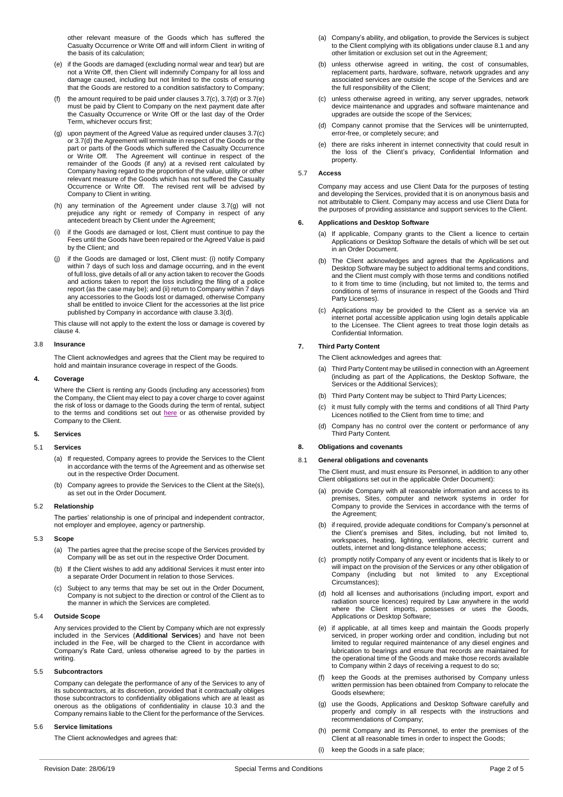other relevant measure of the Goods which has suffered the Casualty Occurrence or Write Off and will inform Client in writing of the basis of its calculation;

- <span id="page-1-0"></span>(e) if the Goods are damaged (excluding normal wear and tear) but are not a Write Off, then Client will indemnify Company for all loss and damage caused, including but not limited to the costs of ensuring that the Goods are restored to a condition satisfactory to Company;
- (f) the amount required to be paid under clauses  $3.7(c)$ ,  $3.7(d)$  or  $3.7(e)$ must be paid by Client to Company on the next payment date after the Casualty Occurrence or Write Off or the last day of the Order Term, whichever occurs first;
- <span id="page-1-1"></span>(g) upon payment of the Agreed Value as required under clause[s 3.7\(c\)](#page-0-1) o[r 3.7\(d\)](#page-0-2) the Agreement will terminate in respect of the Goods or the part or parts of the Goods which suffered the Casualty Occurrence or Write Off. The Agreement will continue in respect of the remainder of the Goods (if any) at a revised rent calculated by Company having regard to the proportion of the value, utility or other relevant measure of the Goods which has not suffered the Casualty Occurrence or Write Off. The revised rent will be advised by Company to Client in writing.
- (h) any termination of the Agreement under clause [3.7\(g\)](#page-1-1) will not prejudice any right or remedy of Company in respect of any antecedent breach by Client under the Agreement;
- (i) if the Goods are damaged or lost, Client must continue to pay the Fees until the Goods have been repaired or the Agreed Value is paid by the Client; and
- <span id="page-1-6"></span>if the Goods are damaged or lost, Client must: (i) notify Company within 7 days of such loss and damage occurring, and in the event of full loss, give details of all or any action taken to recover the Goods and actions taken to report the loss including the filing of a police report (as the case may be); and (ii) return to Company within 7 days any accessories to the Goods lost or damaged, otherwise Company shall be entitled to invoice Client for the accessories at the list price published by Company in accordance with claus[e 3.3\(d\).](#page-0-3)

This clause will not apply to the extent the loss or damage is covered by claus[e 4.](#page-1-2)

#### 3.8 **Insurance**

The Client acknowledges and agrees that the Client may be required to hold and maintain insurance coverage in respect of the Goods.

#### <span id="page-1-2"></span>**4. Coverage**

Where the Client is renting any Goods (including any accessories) from the Company, the Client may elect to pay a cover charge to cover against the risk of loss or damage to the Goods during the term of rental, subject to the terms and conditions set out [here](https://www.imdexlimited.com/media/home/Coverage-Summary-September-2018.pdf) or as otherwise provided by Company to the Client.

## **5. Services**

#### 5.1 **Services**

- (a) If requested, Company agrees to provide the Services to the Client in accordance with the terms of the Agreement and as otherwise set out in the respective Order Document.
- (b) Company agrees to provide the Services to the Client at the Site(s), as set out in the Order Document.

#### 5.2 **Relationship**

The parties' relationship is one of principal and independent contractor, not employer and employee, agency or partnership.

#### 5.3 **Scope**

- (a) The parties agree that the precise scope of the Services provided by Company will be as set out in the respective Order Document.
- (b) If the Client wishes to add any additional Services it must enter into a separate Order Document in relation to those Services.
- (c) Subject to any terms that may be set out in the Order Document, Company is not subject to the direction or control of the Client as to the manner in which the Services are completed.

## 5.4 **Outside Scope**

Any services provided to the Client by Company which are not expressly included in the Services (**Additional Services**) and have not been included in the Fee, will be charged to the Client in accordance with Company's Rate Card, unless otherwise agreed to by the parties in writing.

### 5.5 **Subcontractors**

Company can delegate the performance of any of the Services to any of its subcontractors, at its discretion, provided that it contractually obliges those subcontractors to confidentiality obligations which are at least as onerous as the obligations of confidentiality in clause [10.3](#page-2-1) and the Company remains liable to the Client for the performance of the Services.

## 5.6 **Service limitations**

The Client acknowledges and agrees that:

- (a) Company's ability, and obligation, to provide the Services is subject to the Client complying with its obligations under claus[e 8.1](#page-1-3) and any other limitation or exclusion set out in the Agreement;
- (b) unless otherwise agreed in writing, the cost of consumables replacement parts, hardware, software, network upgrades and any associated services are outside the scope of the Services and are the full responsibility of the Client;
- (c) unless otherwise agreed in writing, any server upgrades, network device maintenance and upgrades and software maintenance and upgrades are outside the scope of the Services;
- (d) Company cannot promise that the Services will be uninterrupted, error-free, or completely secure; and
- (e) there are risks inherent in internet connectivity that could result in the loss of the Client's privacy, Confidential Information and property.

## 5.7 **Access**

Company may access and use Client Data for the purposes of testing and developing the Services, provided that it is on anonymous basis and not attributable to Client. Company may access and use Client Data for the purposes of providing assistance and support services to the Client.

#### **6. Applications and Desktop Software**

- (a) If applicable, Company grants to the Client a licence to certain Applications or Desktop Software the details of which will be set out in an Order Document.
- (b) The Client acknowledges and agrees that the Applications and Desktop Software may be subject to additional terms and conditions, and the Client must comply with those terms and conditions notified to it from time to time (including, but not limited to, the terms and conditions of terms of insurance in respect of the Goods and Third Party Licenses).
- (c) Applications may be provided to the Client as a service via an internet portal accessible application using login details applicable to the Licensee. The Client agrees to treat those login details as Confidential Information.

## **7. Third Party Content**

The Client acknowledges and agrees that:

- (a) Third Party Content may be utilised in connection with an Agreement (including as part of the Applications, the Desktop Software, the Services or the Additional Services);
- (b) Third Party Content may be subject to Third Party Licences;
- (c) it must fully comply with the terms and conditions of all Third Party Licences notified to the Client from time to time; and
- (d) Company has no control over the content or performance of any Third Party Content.

### **8. Obligations and covenants**

#### <span id="page-1-3"></span>8.1 **General obligations and covenants**

The Client must, and must ensure its Personnel, in addition to any other Client obligations set out in the applicable Order Document):

- (a) provide Company with all reasonable information and access to its premises, Sites, computer and network systems in order for Company to provide the Services in accordance with the terms of the Agreement;
- (b) if required, provide adequate conditions for Company's personnel at the Client's premises and Sites, including, but not limited to, workspaces, heating, lighting, ventilations, electric current and outlets, internet and long-distance telephone access;
- (c) promptly notify Company of any event or incidents that is likely to or will impact on the provision of the Services or any other obligation of Company (including but not limited to any Exceptional Circumstances);
- <span id="page-1-4"></span>(d) hold all licenses and authorisations (including import, export and radiation source licences) required by Law anywhere in the world where the Client imports, possesses or uses the Goods, Applications or Desktop Software;
- <span id="page-1-5"></span>(e) if applicable, at all times keep and maintain the Goods properly serviced, in proper working order and condition, including but not limited to regular required maintenance of any diesel engines and lubrication to bearings and ensure that records are maintained for the operational time of the Goods and make those records available to Company within 2 days of receiving a request to do so;
- (f) keep the Goods at the premises authorised by Company unless written permission has been obtained from Company to relocate the Goods elsewhere;
- (g) use the Goods, Applications and Desktop Software carefully and properly and comply in all respects with the instructions and recommendations of Company;
- (h) permit Company and its Personnel, to enter the premises of the Client at all reasonable times in order to inspect the Goods;
- (i) keep the Goods in a safe place;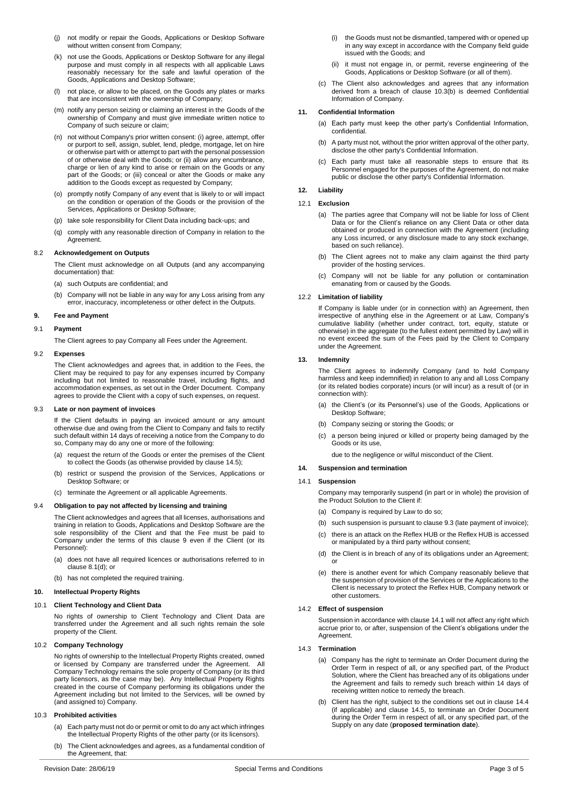- (j) not modify or repair the Goods, Applications or Desktop Software without written consent from Company;
- (k) not use the Goods, Applications or Desktop Software for any illegal purpose and must comply in all respects with all applicable Laws reasonably necessary for the safe and lawful operation of the Goods, Applications and Desktop Software;
- (l) not place, or allow to be placed, on the Goods any plates or marks that are inconsistent with the ownership of Company;
- (m) notify any person seizing or claiming an interest in the Goods of the ownership of Company and must give immediate written notice to Company of such seizure or claim;
- (n) not without Company's prior written consent: (i) agree, attempt, offer or purport to sell, assign, sublet, lend, pledge, mortgage, let on hire or otherwise part with or attempt to part with the personal possession of or otherwise deal with the Goods; or (ii) allow any encumbrance, charge or lien of any kind to arise or remain on the Goods or any part of the Goods; or (iii) conceal or alter the Goods or make any addition to the Goods except as requested by Company;
- (o) promptly notify Company of any event that is likely to or will impact on the condition or operation of the Goods or the provision of the Services, Applications or Desktop Software;
- (p) take sole responsibility for Client Data including back-ups; and
- (q) comply with any reasonable direction of Company in relation to the **Agreement**

### 8.2 **Acknowledgement on Outputs**

The Client must acknowledge on all Outputs (and any accompanying documentation) that:

- (a) such Outputs are confidential; and
- (b) Company will not be liable in any way for any Loss arising from any error, inaccuracy, incompleteness or other defect in the Outputs.

### <span id="page-2-2"></span>**9. Fee and Payment**

### 9.1 **Payment**

The Client agrees to pay Company all Fees under the Agreement.

#### 9.2 **Expenses**

The Client acknowledges and agrees that, in addition to the Fees, the Client may be required to pay for any expenses incurred by Company including but not limited to reasonable travel, including flights, and accommodation expenses, as set out in the Order Document. Company agrees to provide the Client with a copy of such expenses, on request.

### <span id="page-2-4"></span>9.3 **Late or non payment of invoices**

If the Client defaults in paying an invoiced amount or any amount otherwise due and owing from the Client to Company and fails to rectify such default within 14 days of receiving a notice from the Company to do so, Company may do any one or more of the following:

- (a) request the return of the Goods or enter the premises of the Client to collect the Goods (as otherwise provided by clause [14.5\);](#page-3-1)
- (b) restrict or suspend the provision of the Services, Applications or Desktop Software; or
- (c) terminate the Agreement or all applicable Agreements.

#### 9.4 **Obligation to pay not affected by licensing and training**

The Client acknowledges and agrees that all licenses, authorisations and training in relation to Goods, Applications and Desktop Software are the sole responsibility of the Client and that the Fee must be paid to Company under the terms of this clause [9](#page-2-2) even if the Client (or its Personnel):

- (a) does not have all required licences or authorisations referred to in claus[e 8.1\(d\);](#page-1-4) or
- (b) has not completed the required training.

### <span id="page-2-7"></span>**10. Intellectual Property Rights**

## 10.1 **Client Technology and Client Data**

No rights of ownership to Client Technology and Client Data are transferred under the Agreement and all such rights remain the sole property of the Client.

## 10.2 **Company Technology**

No rights of ownership to the Intellectual Property Rights created, owned or licensed by Company are transferred under the Agreement. All Company Technology remains the sole property of Company (or its third party licensors, as the case may be). Any Intellectual Property Rights created in the course of Company performing its obligations under the Agreement including but not limited to the Services, will be owned by (and assigned to) Company.

### <span id="page-2-1"></span>10.3 **Prohibited activities**

- (a) Each party must not do or permit or omit to do any act which infringes the Intellectual Property Rights of the other party (or its licensors).
- <span id="page-2-3"></span>(b) The Client acknowledges and agrees, as a fundamental condition of the Agreement, that:
- (i) the Goods must not be dismantled, tampered with or opened up in any way except in accordance with the Company field guide issued with the Goods; and
- (ii) it must not engage in, or permit, reverse engineering of the Goods, Applications or Desktop Software (or all of them).
- (c) The Client also acknowledges and agrees that any information derived from a breach of clause [10.3\(b\)](#page-2-3) is deemed Confidential Information of Company.

## **11. Confidential Information**

- (a) Each party must keep the other party's Confidential Information, confidential.
- (b) A party must not, without the prior written approval of the other party, disclose the other party's Confidential Information.
- (c) Each party must take all reasonable steps to ensure that its Personnel engaged for the purposes of the Agreement, do not make public or disclose the other party's Confidential Information.

### <span id="page-2-8"></span>**12. Liability**

## 12.1 **Exclusion**

- (a) The parties agree that Company will not be liable for loss of Client Data or for the Client's reliance on any Client Data or other data obtained or produced in connection with the Agreement (including any Loss incurred, or any disclosure made to any stock exchange, based on such reliance).
- (b) The Client agrees not to make any claim against the third party provider of the hosting services.
- (c) Company will not be liable for any pollution or contamination emanating from or caused by the Goods.

### 12.2 **Limitation of liability**

If Company is liable under (or in connection with) an Agreement, then irrespective of anything else in the Agreement or at Law, Company's cumulative liability (whether under contract, tort, equity, statute or otherwise) in the aggregate (to the fullest extent permitted by Law) will in no event exceed the sum of the Fees paid by the Client to Company under the Agreement.

### <span id="page-2-9"></span>**13. Indemnity**

The Client agrees to indemnify Company (and to hold Company harmless and keep indemnified) in relation to any and all Loss Company (or its related bodies corporate) incurs (or will incur) as a result of (or in connection with):

- (a) the Client's (or its Personnel's) use of the Goods, Applications or Desktop Software;
- (b) Company seizing or storing the Goods; or
- (c) a person being injured or killed or property being damaged by the Goods or its use,

due to the negligence or wilful misconduct of the Client.

# **14. Suspension and termination**

## <span id="page-2-5"></span>14.1 **Suspension**

Company may temporarily suspend (in part or in whole) the provision of the Product Solution to the Client if:

- (a) Company is required by Law to do so;
- (b) such suspension is pursuant to claus[e 9.3](#page-2-4) (late payment of invoice);
- (c) there is an attack on the Reflex HUB or the Reflex HUB is accessed or manipulated by a third party without consent;
- (d) the Client is in breach of any of its obligations under an Agreement; or
- (e) there is another event for which Company reasonably believe that the suspension of provision of the Services or the Applications to the Client is necessary to protect the Reflex HUB, Company network or other customers.

## 14.2 **Effect of suspension**

Suspension in accordance with claus[e 14.1](#page-2-5) will not affect any right which accrue prior to, or after, suspension of the Client's obligations under the Agreement.

## <span id="page-2-0"></span>14.3 **Termination**

- (a) Company has the right to terminate an Order Document during the Order Term in respect of all, or any specified part, of the Product Solution, where the Client has breached any of its obligations under the Agreement and fails to remedy such breach within 14 days of receiving written notice to remedy the breach.
- <span id="page-2-6"></span>(b) Client has the right, subject to the conditions set out in clause [14.4](#page-3-0) (if applicable) and clause [14.5,](#page-3-1) to terminate an Order Document during the Order Term in respect of all, or any specified part, of the Supply on any date (**proposed termination date**).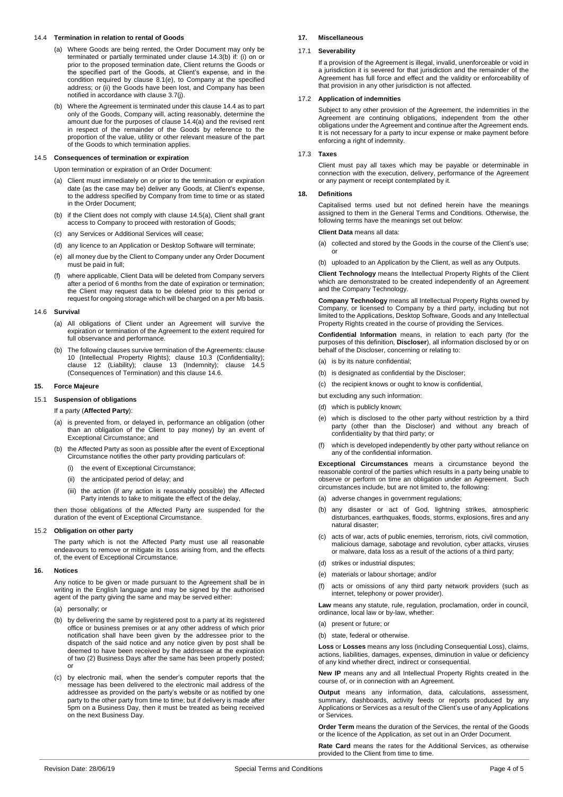### <span id="page-3-2"></span><span id="page-3-0"></span>14.4 **Termination in relation to rental of Goods**

- (a) Where Goods are being rented, the Order Document may only be terminated or partially terminated under clause [14.3\(b\)](#page-2-6) if: (i) on or prior to the proposed termination date, Client returns the Goods or the specified part of the Goods, at Client's expense, and in the condition required by clause [8.1\(e\),](#page-1-5) to Company at the specified address; or (ii) the Goods have been lost, and Company has been notified in accordance with clause [3.7\(j\).](#page-1-6)
- (b) Where the Agreement is terminated under this claus[e 14.4](#page-3-0) as to part only of the Goods, Company will, acting reasonably, determine the amount due for the purposes of claus[e 14.4\(a\)](#page-3-2) and the revised rent in respect of the remainder of the Goods by reference to the proportion of the value, utility or other relevant measure of the part of the Goods to which termination applies.

### <span id="page-3-3"></span><span id="page-3-1"></span>14.5 **Consequences of termination or expiration**

Upon termination or expiration of an Order Document:

- (a) Client must immediately on or prior to the termination or expiration date (as the case may be) deliver any Goods, at Client's expense, to the address specified by Company from time to time or as stated in the Order Document;
- (b) if the Client does not comply with claus[e 14.5\(a\),](#page-3-3) Client shall grant access to Company to proceed with restoration of Goods;
- (c) any Services or Additional Services will cease;
- (d) any licence to an Application or Desktop Software will terminate;
- (e) all money due by the Client to Company under any Order Document must be paid in full;
- (f) where applicable, Client Data will be deleted from Company servers after a period of 6 months from the date of expiration or termination; the Client may request data to be deleted prior to this period or request for ongoing storage which will be charged on a per Mb basis.

#### <span id="page-3-4"></span>14.6 **Survival**

- (a) All obligations of Client under an Agreement will survive the expiration or termination of the Agreement to the extent required for full observance and performance.
- (b) The following clauses survive termination of the Agreements: clause [10](#page-2-7) (Intellectual Property Rights); clause [10.3](#page-2-1) (Confidentiality); clause [12](#page-2-8) (Liability); clause [13](#page-2-9) (Indemnity); clause [14.5](#page-3-1) (Consequences of Termination) and this clause [14.6.](#page-3-4)

#### **15. Force Majeure**

# 15.1 **Suspension of obligations**

#### If a party (**Affected Party**):

- (a) is prevented from, or delayed in, performance an obligation (other than an obligation of the Client to pay money) by an event of Exceptional Circumstance; and
- (b) the Affected Party as soon as possible after the event of Exceptional Circumstance notifies the other party providing particulars of:
	- (i) the event of Exceptional Circumstance;
	- (ii) the anticipated period of delay; and
	- (iii) the action (if any action is reasonably possible) the Affected Party intends to take to mitigate the effect of the delay,

then those obligations of the Affected Party are suspended for the duration of the event of Exceptional Circumstance.

### 15.2 **Obligation on other party**

The party which is not the Affected Party must use all reasonable endeavours to remove or mitigate its Loss arising from, and the effects of, the event of Exceptional Circumstance.

### **16. Notices**

Any notice to be given or made pursuant to the Agreement shall be in writing in the English language and may be signed by the authorised agent of the party giving the same and may be served either:

- (a) personally; or
- (b) by delivering the same by registered post to a party at its registered office or business premises or at any other address of which prior notification shall have been given by the addressee prior to the dispatch of the said notice and any notice given by post shall be deemed to have been received by the addressee at the expiration of two (2) Business Days after the same has been properly posted; or
- (c) by electronic mail, when the sender's computer reports that the message has been delivered to the electronic mail address of the addressee as provided on the party's website or as notified by one party to the other party from time to time; but if delivery is made after 5pm on a Business Day, then it must be treated as being received on the next Business Day.

### **17. Miscellaneous**

#### 17.1 **Severability**

If a provision of the Agreement is illegal, invalid, unenforceable or void in a jurisdiction it is severed for that jurisdiction and the remainder of the Agreement has full force and effect and the validity or enforceability of that provision in any other jurisdiction is not affected.

#### 17.2 **Application of indemnities**

Subject to any other provision of the Agreement, the indemnities in the Agreement are continuing obligations, independent from the other obligations under the Agreement and continue after the Agreement ends. It is not necessary for a party to incur expense or make payment before enforcing a right of indemnity.

### 17.3 **Taxes**

Client must pay all taxes which may be payable or determinable in connection with the execution, delivery, performance of the Agreement or any payment or receipt contemplated by it.

## **18. Definitions**

Capitalised terms used but not defined herein have the meanings assigned to them in the General Terms and Conditions. Otherwise, the following terms have the meanings set out below:

**Client Data** means all data:

(a) collected and stored by the Goods in the course of the Client's use; or

(b) uploaded to an Application by the Client, as well as any Outputs.

**Client Technology** means the Intellectual Property Rights of the Client which are demonstrated to be created independently of an Agreement and the Company Technology.

**Company Technology** means all Intellectual Property Rights owned by Company, or licensed to Company by a third party, including but not limited to the Applications, Desktop Software, Goods and any Intellectual Property Rights created in the course of providing the Services.

**Confidential Information** means, in relation to each party (for the purposes of this definition, **Discloser**), all information disclosed by or on behalf of the Discloser, concerning or relating to:

- (a) is by its nature confidential;
- (b) is designated as confidential by the Discloser:
- (c) the recipient knows or ought to know is confidential,
- but excluding any such information:
- (d) which is publicly known;
- (e) which is disclosed to the other party without restriction by a third party (other than the Discloser) and without any breach of confidentiality by that third party; or
- (f) which is developed independently by other party without reliance on any of the confidential information.

**Exceptional Circumstances** means a circumstance beyond the reasonable control of the parties which results in a party being unable to observe or perform on time an obligation under an Agreement. Such circumstances include, but are not limited to, the following:

- (a) adverse changes in government regulations;
- (b) any disaster or act of God, lightning strikes, atmospheric disturbances, earthquakes, floods, storms, explosions, fires and any natural disaster;
- (c) acts of war, acts of public enemies, terrorism, riots, civil commotion, malicious damage, sabotage and revolution, cyber attacks, viruses or malware, data loss as a result of the actions of a third party;
- (d) strikes or industrial disputes;
- (e) materials or labour shortage; and/or
- (f) acts or omissions of any third party network providers (such as internet, telephony or power provider).

**Law** means any statute, rule, regulation, proclamation, order in council, ordinance, local law or by-law, whether:

(a) present or future; or

(b) state, federal or otherwise.

**Loss** or **Losses** means any loss (including Consequential Loss), claims, actions, liabilities, damages, expenses, diminution in value or deficiency of any kind whether direct, indirect or consequential.

**New IP** means any and all Intellectual Property Rights created in the course of, or in connection with an Agreement.

**Output** means any information, data, calculations, assessment, summary, dashboards, activity feeds or reports produced by any Applications or Services as a result of the Client's use of any Applications or Services.

**Order Term** means the duration of the Services, the rental of the Goods or the licence of the Application, as set out in an Order Document.

**Rate Card** means the rates for the Additional Services, as otherwise provided to the Client from time to time.